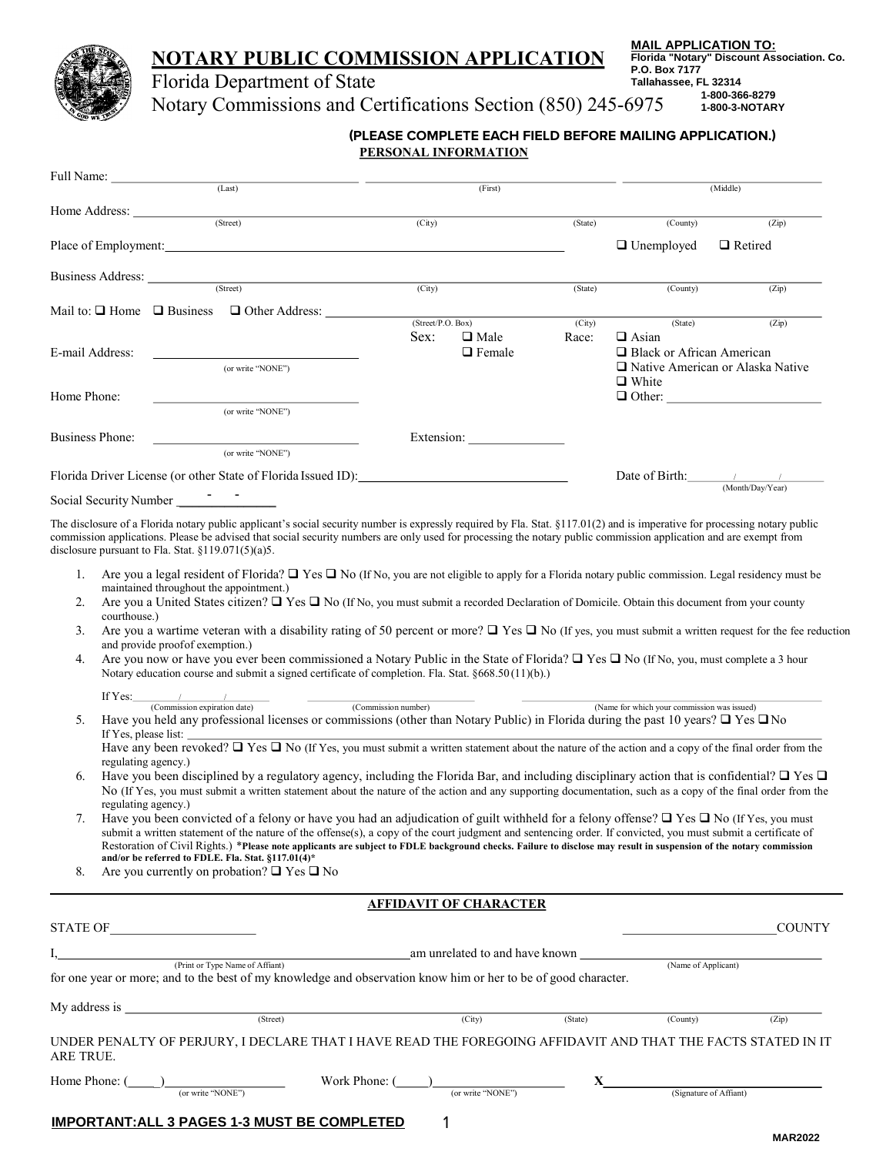## **NOTARY PUBLIC COMMISSION APPLICATION**

Complete and Return Originals to: <u>MAIL APPLICATION TO:</u> **Florida "Notary" Discount Association. Co. P.O. Box 7177**<br>— ... . **Tallahassee, FL 32314 1-800-366-8279 1-800-3-NOTARY**

## Florida Department of State Notary Commissions and Certifications Section (850) 245-6975

**PERSONAL INFORMATION (PLEASE COMPLETE EACH FIELD BEFORE MAILING APPLICATION.)** 

| Full Name: (Last)      |                                                               | (First)           |               |         | (Middle)                         |                                         |
|------------------------|---------------------------------------------------------------|-------------------|---------------|---------|----------------------------------|-----------------------------------------|
|                        |                                                               |                   |               |         |                                  |                                         |
|                        | (Street)                                                      | (City)            |               | (State) | (County)                         | (Zip)                                   |
|                        | Place of Employment:                                          |                   |               |         | $\Box$ Unemployed                | $\Box$ Retired                          |
|                        | Business Address: (Street)                                    |                   |               |         |                                  |                                         |
|                        |                                                               | (City)            |               | (State) | (County)                         | (Zip)                                   |
|                        | Mail to: $\Box$ Home $\Box$ Business $\Box$ Other Address:    |                   |               |         |                                  |                                         |
|                        |                                                               | (Street/P.O. Box) |               | (City)  | (State)                          | (Zip)                                   |
|                        |                                                               | Sex:              | $\Box$ Male   | Race:   | $\Box$ Asian                     |                                         |
| E-mail Address:        |                                                               |                   | $\Box$ Female |         | $\Box$ Black or African American |                                         |
|                        | (or write "NONE")                                             |                   |               |         |                                  | $\Box$ Native American or Alaska Native |
|                        |                                                               |                   |               |         | $\Box$ White                     |                                         |
| Home Phone:            |                                                               |                   |               |         |                                  | $\Box$ Other:                           |
|                        | (or write "NONE")                                             |                   |               |         |                                  |                                         |
| Business Phone:        |                                                               |                   |               |         |                                  |                                         |
|                        | (or write "NONE")                                             |                   |               |         |                                  |                                         |
|                        | Florida Driver License (or other State of Florida Issued ID): |                   |               |         | Date of Birth: $\sqrt{2}$        |                                         |
| Social Security Number |                                                               |                   |               |         |                                  | (Month/Day/Year)                        |

The disclosure of a Florida notary public applicant's social security number is expressly required by Fla. Stat. §117.01(2) and is imperative for processing notary public commission applications. Please be advised that social security numbers are only used for processing the notary public commission application and are exempt from disclosure pursuant to Fla. Stat. §119.071(5)(a)5.

- 1. Are you a legal resident of Florida?  $\Box$  Yes  $\Box$  No (If No, you are not eligible to apply for a Florida notary public commission. Legal residency must be maintained throughout the appointment.)
- 2. Are you a United States citizen?  $\Box$  Yes  $\Box$  No (If No, you must submit a recorded Declaration of Domicile. Obtain this document from your county courthouse.)
- 3. Are you a wartime veteran with a disability rating of 50 percent or more?  $\Box$  Yes  $\Box$  No (If yes, you must submit a written request for the fee reduction and provide proofof exemption.)
- 4. Are you now or have you ever been commissioned a Notary Public in the State of Florida?  $\Box$  Yes  $\Box$  No (If No, you, must complete a 3 hour Notary education course and submit a signed certificate of completion. Fla. Stat. §668.50 (11)(b).)

| If Yes:                      |                     |                                                                                                                                                                |
|------------------------------|---------------------|----------------------------------------------------------------------------------------------------------------------------------------------------------------|
| (Commission expiration date) | (Commission number) | (Name for which your commission was issued)                                                                                                                    |
|                              |                     | Have you held any professional licenses or commissions (other than Notary Public) in Florida during the past 10 years? $\Box$ Yes $\Box$ No                    |
| If Yes, please list:         |                     |                                                                                                                                                                |
|                              |                     | Have any been revoked? $\Box$ Yes $\Box$ No (If Yes, you must submit a written statement about the nature of the action and a copy of the final order from the |
| regulating agency.)          |                     |                                                                                                                                                                |

- 6. Have you been disciplined by a regulatory agency, including the Florida Bar, and including disciplinary action that is confidential?  $\Box$  Yes  $\Box$ No (If Yes, you must submit a written statement about the nature of the action and any supporting documentation, such as a copy of the final order from the regulating agency.)
- 7. Have you been convicted of a felony or have you had an adjudication of guilt withheld for a felony offense?  $\Box$  Yes  $\Box$  No (If Yes, you must submit a written statement of the nature of the offense(s), a copy of the court judgment and sentencing order. If convicted, you must submit a certificate of Restoration of Civil Rights.) \***Please note applicants are subject to FDLE background checks. Failure to disclose may result in suspension of the notary commission and/or be referred to FDLE. Fla. Stat. §117.01(4)\***

8. Are you currently on probation?  $\Box$  Yes  $\Box$  No

#### **AFFIDAVIT OF CHARACTER**

| <b>STATE OF</b> |                                                                                                                                                   |               |                                |         |                        | <b>COUNTY</b> |
|-----------------|---------------------------------------------------------------------------------------------------------------------------------------------------|---------------|--------------------------------|---------|------------------------|---------------|
|                 | (Print or Type Name of Affiant)<br>for one year or more; and to the best of my knowledge and observation know him or her to be of good character. |               | am unrelated to and have known |         | (Name of Applicant)    |               |
| My address is   | (Street)                                                                                                                                          |               | (City)                         | (State) | (County)               | (Zip)         |
| ARE TRUE.       | UNDER PENALTY OF PERJURY, I DECLARE THAT I HAVE READ THE FOREGOING AFFIDAVIT AND THAT THE FACTS STATED IN IT                                      |               |                                |         |                        |               |
| Home Phone: (   | (or write "NONE")                                                                                                                                 | Work Phone: ( | (or write "NONE")              |         | (Signature of Affiant) |               |
|                 | <b>IMPORTANT: ALL 3 PAGES 1-3 MUST BE COMPLETED</b>                                                                                               |               |                                |         |                        |               |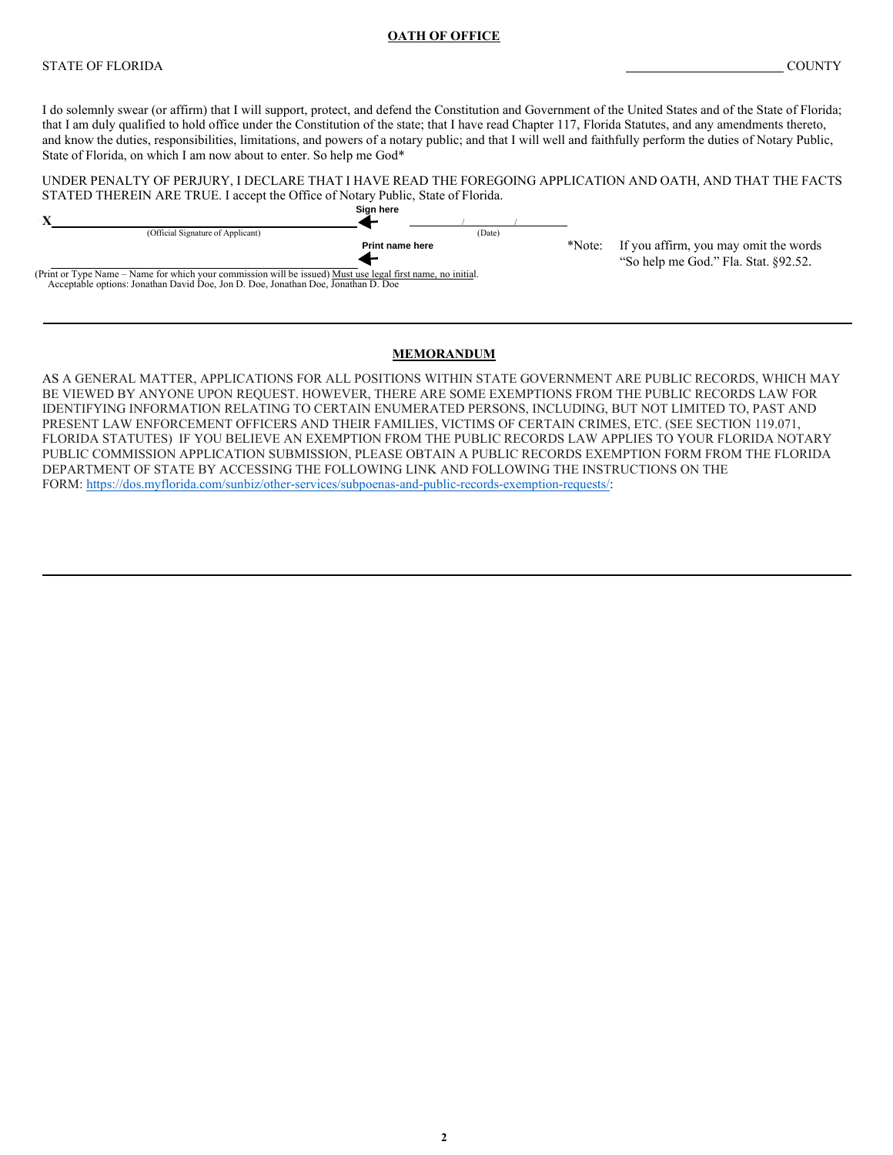#### **OATH OF OFFICE**

#### STATE OF FLORIDA COUNTY

I do solemnly swear (or affirm) that I will support, protect, and defend the Constitution and Government of the United States and of the State of Florida; that I am duly qualified to hold office under the Constitution of the state; that I have read Chapter 117, Florida Statutes, and any amendments thereto, and know the duties, responsibilities, limitations, and powers of a notary public; and that I will well and faithfully perform the duties of Notary Public, State of Florida, on which I am now about to enter. So help me God\*



#### **MEMORANDUM**

AS A GENERAL MATTER, APPLICATIONS FOR ALL POSITIONS WITHIN STATE GOVERNMENT ARE PUBLIC RECORDS, WHICH MAY BE VIEWED BY ANYONE UPON REQUEST. HOWEVER, THERE ARE SOME EXEMPTIONS FROM THE PUBLIC RECORDS LAW FOR IDENTIFYING INFORMATION RELATING TO CERTAIN ENUMERATED PERSONS, INCLUDING, BUT NOT LIMITED TO, PAST AND PRESENT LAW ENFORCEMENT OFFICERS AND THEIR FAMILIES, VICTIMS OF CERTAIN CRIMES, ETC. (SEE SECTION 119.071, FLORIDA STATUTES) IF YOU BELIEVE AN EXEMPTION FROM THE PUBLIC RECORDS LAW APPLIES TO YOUR FLORIDA NOTARY PUBLIC COMMISSION APPLICATION SUBMISSION, PLEASE OBTAIN A PUBLIC RECORDS EXEMPTION FORM FROM THE FLORIDA DEPARTMENT OF STATE BY ACCESSING THE FOLLOWING LINK AND FOLLOWING THE INSTRUCTIONS ON THE FORM: [https://dos.myflorida.com/sunbiz/other-services/subpoenas-and-public-records-exemption-requests/:](https://dos.myflorida.com/sunbiz/other-services/subpoenas-and-public-records-exemption-requests/)